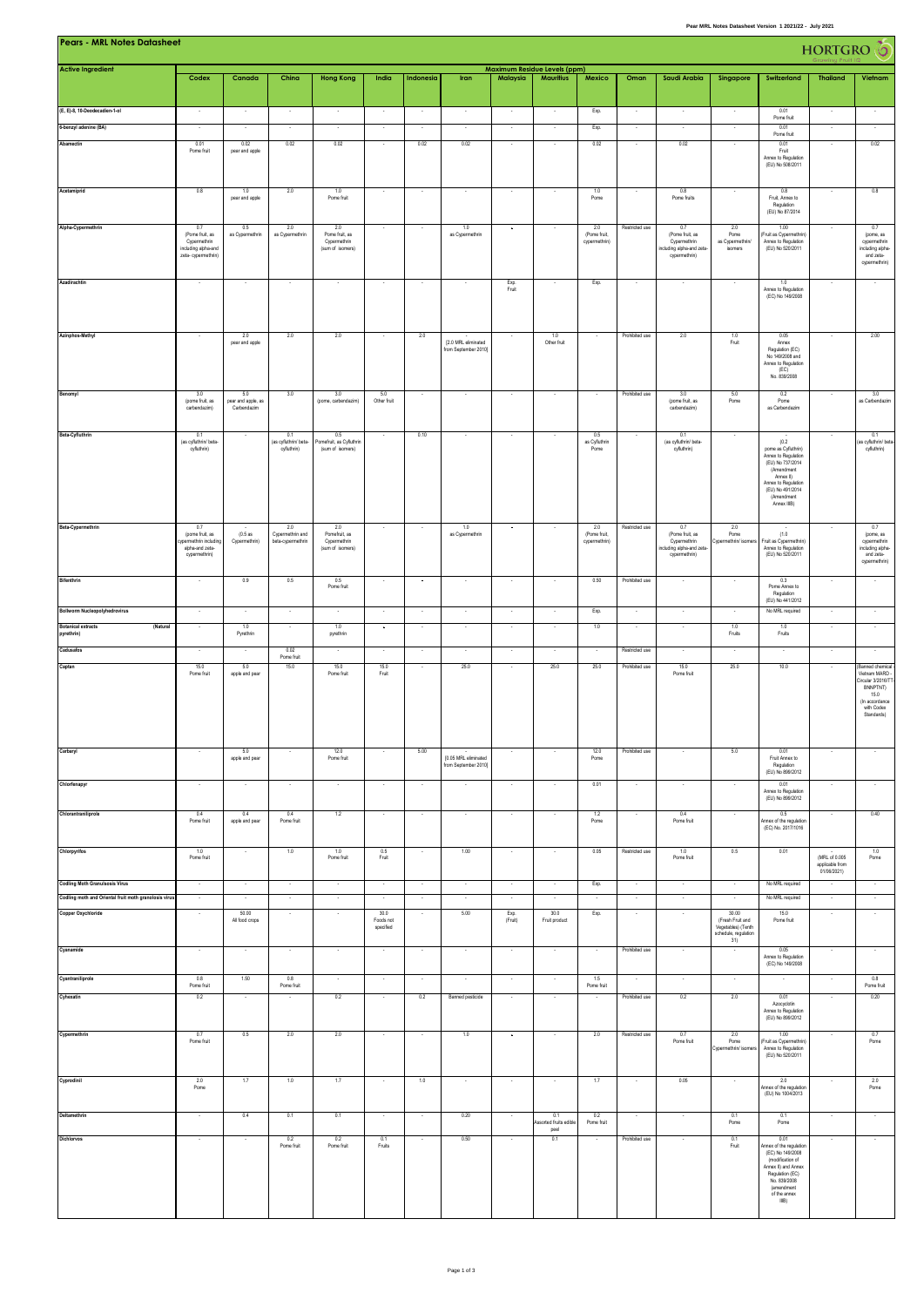| <b>Pears - MRL Notes Datasheet</b><br>HORTGRO (O<br>Maximum Residue Levels (ppm)               |                                                           |                           |                             |                                  |                                                      |                          |                                              |                                    |                                      |                                        |                          |                                                          |                                            |                                                                   |                                |                                               |
|------------------------------------------------------------------------------------------------|-----------------------------------------------------------|---------------------------|-----------------------------|----------------------------------|------------------------------------------------------|--------------------------|----------------------------------------------|------------------------------------|--------------------------------------|----------------------------------------|--------------------------|----------------------------------------------------------|--------------------------------------------|-------------------------------------------------------------------|--------------------------------|-----------------------------------------------|
| <b>Active Ingredient</b>                                                                       | Codex                                                     | Canada                    | China                       | <b>Hong Kong</b>                 | India                                                | Indonesia                | Iran                                         | Malaysia                           | <b>Mauritius</b>                     | Mexico                                 | Oman                     | Saudi Arabia                                             | Singapore                                  | Switzerland                                                       | <b>Thailand</b>                | Vietnam                                       |
|                                                                                                |                                                           |                           |                             |                                  |                                                      |                          |                                              |                                    |                                      |                                        |                          |                                                          |                                            |                                                                   |                                |                                               |
| (E, E)-8, 10-Deodecadien-1-ol                                                                  |                                                           |                           |                             |                                  |                                                      |                          | ÷                                            |                                    |                                      | Exp.                                   | $\cdot$                  |                                                          |                                            | 0.01<br>Pome fruit                                                |                                |                                               |
| 6-benzyl adenine (BA)                                                                          |                                                           |                           |                             |                                  |                                                      |                          | $\overline{\phantom{a}}$                     |                                    |                                      | Exp.                                   | $\overline{\phantom{a}}$ |                                                          |                                            | 0.01<br>Pome fruit                                                |                                |                                               |
| Abamectin                                                                                      | 0.01<br>Pome fruit                                        | 0.02<br>pear and apple    | 0.02                        | 0.02                             | $\sim$                                               | 0.02                     | 0.02                                         | $\sim$                             | $\cdot$                              | 0.02                                   | $\sim$                   | 0.02                                                     | $\overline{\phantom{a}}$                   | 0.01<br>Fruit<br>Annex to Regulation                              | $\cdot$                        | 0.02                                          |
|                                                                                                |                                                           |                           |                             |                                  |                                                      |                          |                                              |                                    |                                      |                                        |                          |                                                          |                                            | (EU) No 508/2011                                                  |                                |                                               |
| Acetamiprid                                                                                    | 0.8                                                       | 1.0                       | 2.0                         | 1.0                              | $\sim$                                               | $\sim$                   | $\overline{\phantom{a}}$                     |                                    | $\sim$                               | 1.0                                    |                          | 0.8                                                      |                                            | 0.8                                                               | $\sim$                         | 0.8                                           |
|                                                                                                |                                                           | pear and apple            |                             | Pome fruit                       |                                                      |                          |                                              |                                    |                                      | Pome                                   |                          | Pome fruits                                              |                                            | Fruit, Annex to<br>Regulation<br>(EU) No 87/2014                  |                                |                                               |
| Alpha-Cypermethrin                                                                             | 0.7<br>(Pome fruit, as                                    | 0.5<br>as Cypermethrin    | 2.0<br>as Cypermethrin      | 2.0<br>Pome fruit, as            |                                                      |                          | 1.0<br>as Cypermethrin                       |                                    |                                      | 2.0<br>(Pome fruit,                    | Restricted use           | 0.7<br>(Pome fruit, as                                   | 2.0<br>Pome                                | 1.00<br>Fruit as Cypermethrin)                                    | $\cdot$                        | 0.7<br>(pome, as                              |
|                                                                                                | Cypermethrin<br>including alpha-and                       |                           |                             | Cypermethrin<br>(sum of isomers) |                                                      |                          |                                              |                                    |                                      | cypermethrin)                          |                          | Cypermethrin<br>ncluding alpha-and zeta-                 | as Cypermethrin/<br>isomers                | Annex to Regulation<br>(EU) No 520/2011                           |                                | cypermethrin<br>including alpha-              |
|                                                                                                | zeta- cypermethrin)                                       |                           |                             |                                  |                                                      |                          |                                              |                                    |                                      |                                        |                          | cypermethrin)                                            |                                            |                                                                   |                                | and zeta-<br>cypermethrin)                    |
| Azadirachtin                                                                                   |                                                           |                           |                             |                                  |                                                      |                          |                                              | Exp.<br>Fruit                      |                                      | Exp.                                   |                          |                                                          |                                            | 1.0<br>Annex to Regulation                                        |                                |                                               |
|                                                                                                |                                                           |                           |                             |                                  |                                                      |                          |                                              |                                    |                                      |                                        |                          |                                                          |                                            | (EC) No 149/2008                                                  |                                |                                               |
|                                                                                                |                                                           |                           |                             |                                  |                                                      |                          |                                              |                                    |                                      |                                        |                          |                                                          |                                            |                                                                   |                                |                                               |
| Azinphos-Methyl                                                                                | $\sim$                                                    | 20<br>pear and apple      | 2.0                         | 2.0                              | $\sim$                                               | 2.0                      | [2.0 MRL eliminated<br>from September 2010]  |                                    | 1.0<br>Other fruit                   | $\overline{\phantom{a}}$               | Prohibited use           | 2.0                                                      | 1.0<br>Fruit                               | 0.05<br>Annex<br>Regulation (EC)                                  | $\epsilon$                     | $2.00\,$                                      |
|                                                                                                |                                                           |                           |                             |                                  |                                                      |                          |                                              |                                    |                                      |                                        |                          |                                                          |                                            | No 149/2008 and<br>Annex to Regulation                            |                                |                                               |
|                                                                                                |                                                           |                           |                             |                                  |                                                      |                          |                                              |                                    |                                      |                                        |                          |                                                          |                                            | (EC)<br>No. 839/2008                                              |                                |                                               |
| Benomyl                                                                                        | 3.0<br>(pome fruit, as                                    | 5.0<br>pear and apple, as | 3.0                         | 3.0<br>(pome, carbendazim)       | 5.0<br>Other fruit                                   |                          |                                              |                                    |                                      |                                        | Prohibited use           | 3.0<br>(pome fruit, as                                   | 5.0<br>Pome                                | 0.2<br>Pome                                                       |                                | 3.0<br>as Carbendazim                         |
|                                                                                                | carbendazim)                                              | Carbendazim               |                             |                                  |                                                      |                          |                                              |                                    |                                      |                                        |                          | carbendazim)                                             |                                            | as Carbendazim                                                    |                                |                                               |
| Beta-Cyfluthrin                                                                                | 0.1<br>(as cyfluthrin/ beta-                              |                           | 0.1<br>(as cyfluthrin/ beta | 0.5<br>Pomefruit, as Cyfluthrin  | $\sim$                                               | 0.10                     | $\overline{\phantom{a}}$                     | $\sim$                             | $\sim$                               | 0.5<br>as Cyfluthrin                   |                          | 0.1<br>(as cyfluthrin/ beta-                             | $\overline{\phantom{a}}$                   | (0.2)                                                             |                                | 0.1<br>(as cyfluthrin/ beta-                  |
|                                                                                                | cyfluthrin)                                               |                           | cyfluthrin)                 | (sum of isomers)                 |                                                      |                          |                                              |                                    |                                      | Pome                                   |                          | cyfluthrin)                                              |                                            | pome as Cyfluthrin)<br>Annex to Regulation                        |                                | cyfuthrin)                                    |
|                                                                                                |                                                           |                           |                             |                                  |                                                      |                          |                                              |                                    |                                      |                                        |                          |                                                          |                                            | (EU) No 737/2014<br>(Amendment<br>Annex II)                       |                                |                                               |
|                                                                                                |                                                           |                           |                             |                                  |                                                      |                          |                                              |                                    |                                      |                                        |                          |                                                          |                                            | Annex to Regulation<br>(EU) No 491/2014<br>(Amendment             |                                |                                               |
|                                                                                                |                                                           |                           |                             |                                  |                                                      |                          |                                              |                                    |                                      |                                        |                          |                                                          |                                            | Annex IIIB)                                                       |                                |                                               |
| Beta-Cypermethrin                                                                              | 0.7<br>(pome fruit, as                                    | (0.5as                    | 2.0<br>Cypermethrin and     | 2.0<br>Pomefruit, as             |                                                      |                          | 1.0<br>as Cypermethrin                       |                                    |                                      | 2.0<br>(Pome fruit,                    | Restricted use           | 0.7<br>(Pome fruit, as                                   | 2.0<br>Pome                                | (1.0)                                                             | ×                              | 0.7<br>(pome, as                              |
|                                                                                                | ypermethrin including<br>alpha-and zeta-<br>cypermethrin) | Cypermethrin)             | beta-cypermethrin           | Cypermethrin<br>(sum of isomers) |                                                      |                          |                                              |                                    |                                      | cypermethrin)                          |                          | Cypermethrin<br>ncluding alpha-and zeta<br>cypermethrin) | Cypermethrin/ isomer                       | Fruit as Cypermethrin)<br>Annex to Regulation<br>(EU) No 520/2011 |                                | cypermethrin<br>including alpha-<br>and zeta- |
|                                                                                                |                                                           |                           |                             |                                  |                                                      |                          |                                              |                                    |                                      |                                        |                          |                                                          |                                            |                                                                   |                                | cypermethrin)                                 |
| <b>Bifenthrin</b>                                                                              | $\sim$                                                    | 0.9                       | 0.5                         | 0.5<br>Pome fruit                | $\sim$                                               | $\overline{\phantom{a}}$ | ×                                            | - 20                               | ÷.                                   | 0.50                                   | Prohibited use           |                                                          |                                            | 0.3<br>Pome Annex to<br>Regulation                                | ×                              | $\sim$                                        |
| Bollworm Nucleopolyhedrovirus                                                                  | $\cdot$                                                   | $\sim$                    | $\cdot$                     |                                  | $\cdot$                                              | $\cdot$                  | $\cdot$                                      |                                    | $\sim$                               | Exp.                                   | $\cdot$                  | ×                                                        | $\cdot$                                    | (EU) No 441/2012<br>No MRL required                               | $\sim$                         | $\cdot$                                       |
| <b>Botanical extracts</b><br>(Natural                                                          | $\sim$                                                    | 1.0                       |                             | 1.0                              | $\sim$                                               | $\sim$                   | $\sim$                                       | $\sim$                             | $\sim$                               | 1.0                                    | $\sim$                   | ×                                                        | 1.0                                        | 1.0                                                               | $\epsilon$                     |                                               |
| pyrethrin)<br>Cadusafos                                                                        |                                                           | Pyrethrin                 | 0.02                        | pyrethrin                        |                                                      |                          |                                              |                                    |                                      |                                        | Restricted use           |                                                          | Fruits                                     | Fruits                                                            |                                |                                               |
| Captan                                                                                         | 15.0                                                      | 5.0                       | Pome fruit<br>15.0          | 15.0                             | 15.0                                                 |                          | 25.0                                         |                                    | 25.0                                 | 25.0                                   | Prohibited use           | 15.0                                                     | 25.0                                       | 10.0                                                              | ¥                              | Banned chemical                               |
|                                                                                                | Pome fruit                                                | apple and pear            |                             | Pome fruit                       | Fruit                                                |                          |                                              |                                    |                                      |                                        |                          | Pome fruit                                               |                                            |                                                                   |                                | Vietnam MARD<br>Circular 3/2016/T<br>BNNPTNT) |
|                                                                                                |                                                           |                           |                             |                                  |                                                      |                          |                                              |                                    |                                      |                                        |                          |                                                          |                                            |                                                                   |                                | 15.0<br>(In accordance<br>with Codex          |
|                                                                                                |                                                           |                           |                             |                                  |                                                      |                          |                                              |                                    |                                      |                                        |                          |                                                          |                                            |                                                                   |                                | Standards)                                    |
|                                                                                                |                                                           |                           |                             |                                  |                                                      |                          |                                              |                                    |                                      |                                        |                          |                                                          |                                            |                                                                   |                                |                                               |
| Carbaryl                                                                                       |                                                           | 5.0<br>apple and pear     |                             | 12.0<br>Pome fruit               |                                                      | 5.00                     | [0.05 MRL eliminated<br>from September 2010] |                                    |                                      | 12.0<br>Pome                           | Prohibited use           |                                                          | 5.0                                        | 0.01<br>Fruit Annex to<br>Regulation                              |                                |                                               |
| Chlorfenapyr                                                                                   |                                                           |                           |                             |                                  |                                                      |                          |                                              |                                    |                                      | 0.01                                   |                          |                                                          |                                            | (EU) No 899/2012<br>0.01                                          |                                |                                               |
|                                                                                                |                                                           |                           |                             |                                  |                                                      |                          |                                              |                                    |                                      |                                        |                          |                                                          |                                            | Annex to Regulation<br>(EU) No 899/2012                           |                                |                                               |
| Chlorantraniliprole                                                                            | 0.4<br>Pome fruit                                         | 0.4<br>apple and pear     | 0.4<br>Pome fruit           | 1.2                              | $\cdot$                                              |                          | $\overline{\phantom{a}}$                     |                                    | ٠                                    | 1.2<br>Pome                            |                          | 0.4<br>Pome fruit                                        |                                            | 0.5<br>Annex of the regulation                                    | ٠                              | 0.40                                          |
|                                                                                                |                                                           |                           |                             |                                  |                                                      |                          |                                              |                                    |                                      |                                        |                          |                                                          |                                            | (EC) No. 2017/1016                                                |                                |                                               |
| Chlorpyrifos                                                                                   | 1.0<br>Pome fruit                                         |                           | 1.0                         | 1.0<br>Pome fruit                | 0.5<br>Fruit                                         |                          | 1.00                                         |                                    |                                      | 0.05                                   | Restricted use           | 1.0<br>Pome fruit                                        | 0.5                                        | 0.01                                                              | (MRL of 0.005                  | 1.0<br>Pome                                   |
|                                                                                                |                                                           |                           |                             |                                  |                                                      |                          |                                              |                                    |                                      |                                        |                          |                                                          |                                            | No MRL required                                                   | applicable from<br>01/06/2021) |                                               |
| <b>Codling Moth Granulsosis Virus</b><br>Codling moth and Oriental fruit moth granolosis virus | $\overline{\phantom{a}}$<br>٠                             |                           | $\cdot$                     | $\cdot$                          | $\overline{\phantom{a}}$<br>$\overline{\phantom{a}}$ | $\overline{\phantom{a}}$ | ٠<br>$\overline{\phantom{a}}$                | $\overline{\phantom{a}}$<br>$\sim$ | $\cdot$<br>٠                         | Exp.<br>$\cdot$                        | $\cdot$<br>$\cdot$       | $\overline{\phantom{a}}$<br>$\overline{\phantom{a}}$     | $\cdot$<br>$\overline{\phantom{a}}$        | No MRL required                                                   | $\hat{\phantom{a}}$<br>$\cdot$ | ٠<br>$\cdot$                                  |
| Copper Oxychloride                                                                             | $\sim$                                                    | 50.00<br>All food crops   | ÷.                          |                                  | 30.0<br>Foods not                                    | ÷.                       | 5.00                                         | Exp.<br>(Fruit)                    | 30.0<br>Fruit product                | Exp.                                   | $\sim$                   | ×                                                        | 30.00<br>(Fresh Fruit and                  | 15.0<br>Pome fruit                                                | $\cdot$                        | $\sim$                                        |
|                                                                                                |                                                           |                           |                             |                                  | specified                                            |                          |                                              |                                    |                                      |                                        |                          |                                                          | Vegetables) (Tenth<br>schedule, regulation |                                                                   |                                |                                               |
| Cyanamide                                                                                      | $\sim$                                                    | $\sim$                    | $\overline{\phantom{a}}$    |                                  | $\cdot$                                              | $\overline{\phantom{a}}$ | $\cdot$                                      | $\sim$                             | $\cdot$                              | $\cdot$                                | Prohibited use           | $\overline{\phantom{a}}$                                 | 31)<br>$\sim$                              | 0.05<br>Annex to Regulation                                       | $\cdot$                        | $\sim$                                        |
| Cyantraniliprole                                                                               | 0.8                                                       | 1.50                      | 0.8                         |                                  | $\sim$                                               | $\sim$                   | ×                                            | $\sim$                             | $\sim$                               | 1.5                                    | ÷.                       | ×                                                        | $\sim$                                     | (EC) No 149/2008                                                  | $\epsilon$                     | 0.8                                           |
| Cyhexatin                                                                                      | Pome fruit<br>0.2                                         | $\sim$                    | Pome fruit                  | 0.2                              | $\sim$                                               | 0.2                      | Banned pesticide                             | $\sim$                             | $\sim$                               | Pome fruit<br>$\overline{\phantom{a}}$ | Prohibited use           | 0.2                                                      | 2.0                                        | 0.01                                                              | ×                              | Pome fruit<br>0.20                            |
|                                                                                                |                                                           |                           |                             |                                  |                                                      |                          |                                              |                                    |                                      |                                        |                          |                                                          |                                            | Azocyclotin<br>Annex to Regulation<br>(EU) No 899/2012            |                                |                                               |
| Cypermethrin                                                                                   | 0.7                                                       | 0.5                       | 2.0                         | 2.0                              | $\sim$                                               |                          | 1.0                                          |                                    |                                      | 2.0                                    | Restricted use           | 0.7                                                      | 2.0                                        | 1.00                                                              |                                | 0.7                                           |
|                                                                                                | Pome fruit                                                |                           |                             |                                  |                                                      |                          |                                              |                                    |                                      |                                        |                          | Pome fruit                                               | Pome<br>Cypermethrin/ isomer               | Fruit as Cypermethrin<br>Annex to Regulation                      |                                | Pome                                          |
|                                                                                                |                                                           |                           |                             |                                  |                                                      |                          |                                              |                                    |                                      |                                        |                          |                                                          |                                            | (EU) No 520/2011                                                  |                                |                                               |
| Cyprodinil                                                                                     | 2.0<br>Pome                                               | 1.7                       | 1.0                         | 1.7                              | $\sim$                                               | 1.0                      | $\sim$                                       | $\sim$                             | $\sim$                               | 1.7                                    | $\cdot$                  | 0.05                                                     | $\sim$                                     | 2.0<br>Annex of the regulation                                    | $\overline{\phantom{a}}$       | 2.0<br>Pome                                   |
|                                                                                                |                                                           |                           |                             |                                  |                                                      |                          |                                              |                                    |                                      |                                        |                          |                                                          |                                            | (EU) No 1004/2013                                                 |                                |                                               |
| Deltamethrin                                                                                   |                                                           | 0.4                       | 0.1                         | 0.1                              | $\sim$                                               |                          | 0.20                                         |                                    | 0.1<br>ssorted fruits edible<br>peel | 02<br>Pome fruit                       |                          |                                                          | 0.1<br>Pome                                | 0.1<br>Pome                                                       | $\sim$                         |                                               |
| Dichlorvos                                                                                     |                                                           |                           | 0.2<br>Pome fruit           | 0.2<br>Pome fruit                | 0.1<br>Fruits                                        |                          | 0.50                                         |                                    | 0.1                                  |                                        | Prohibited use           |                                                          | 0.1<br>Fruit                               | 0.01<br>Annex of the regulation                                   |                                |                                               |
|                                                                                                |                                                           |                           |                             |                                  |                                                      |                          |                                              |                                    |                                      |                                        |                          |                                                          |                                            | (EC) No 149/2008<br>(modification of<br>Annex II) and Annex       |                                |                                               |
|                                                                                                |                                                           |                           |                             |                                  |                                                      |                          |                                              |                                    |                                      |                                        |                          |                                                          |                                            | Regulation (EC)<br>No. 839/2008<br>(amendment                     |                                |                                               |
|                                                                                                |                                                           |                           |                             |                                  |                                                      |                          |                                              |                                    |                                      |                                        |                          |                                                          |                                            | of the annex<br>IIIB)                                             |                                |                                               |

**Pear MRL Notes Datasheet Version 1 2021/22 - July 2021**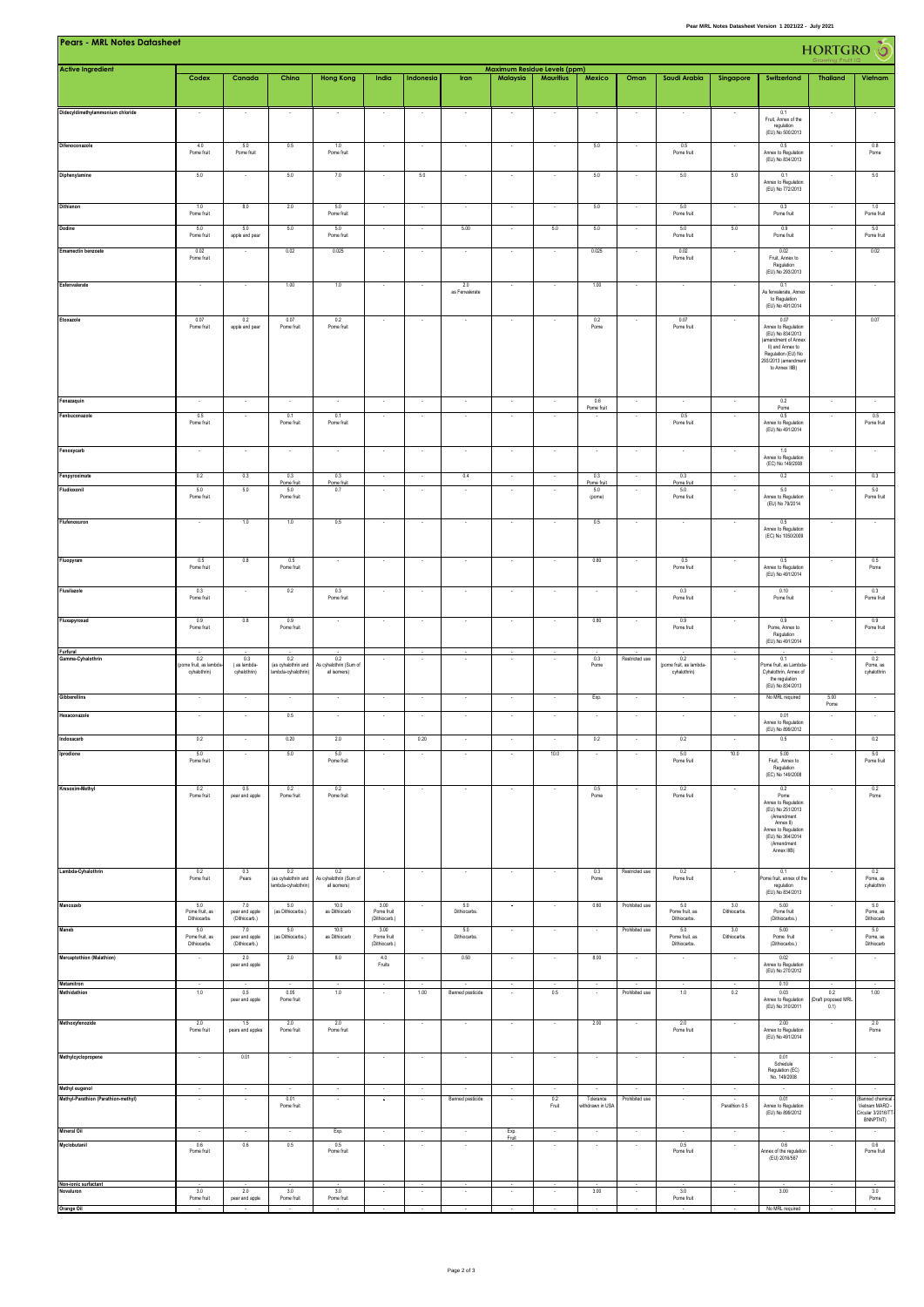| Pears - MRL Notes Datasheet<br><b>HORTGRO</b> O<br><b>Maximum Residue Levels (ppm)</b> |                                             |                                        |                                                   |                                               |                                     |                          |                          |                          |                          |                               |                          |                                                |                          |                                                                                                                                                           |                                          |                                                       |
|----------------------------------------------------------------------------------------|---------------------------------------------|----------------------------------------|---------------------------------------------------|-----------------------------------------------|-------------------------------------|--------------------------|--------------------------|--------------------------|--------------------------|-------------------------------|--------------------------|------------------------------------------------|--------------------------|-----------------------------------------------------------------------------------------------------------------------------------------------------------|------------------------------------------|-------------------------------------------------------|
| <b>Active Ingredient</b>                                                               | Codex                                       | Canada                                 | China                                             | <b>Hong Kong</b>                              | India                               | Indonesia                | Iran                     | Malaysia                 | <b>Mauritius</b>         | Mexico                        | Oman                     | Saudi Arabia                                   | Singapore                | Switzerland                                                                                                                                               | <b>Thailand</b>                          | Vietnam                                               |
|                                                                                        |                                             |                                        |                                                   |                                               |                                     |                          |                          |                          |                          |                               |                          |                                                |                          |                                                                                                                                                           |                                          |                                                       |
| Didecyldimethylammonium chloride                                                       |                                             |                                        |                                                   |                                               | $\overline{\phantom{a}}$            |                          |                          |                          | $\overline{\phantom{a}}$ | $\overline{\phantom{a}}$      | $\overline{\phantom{a}}$ |                                                |                          | 0.1<br>Fruit, Annex of the<br>regulation<br>(EU) No 500/2013                                                                                              |                                          |                                                       |
| Difenoconazole                                                                         | 4.0<br>Pome fruit                           | 5.0<br>Pome fruit                      | 0.5                                               | 1.0<br>Pome fruit                             |                                     |                          |                          |                          |                          | 5.0                           |                          | 0.5<br>Pome fruit                              |                          | 0.5<br>Annex to Regulation<br>(EU) No 834/2013                                                                                                            |                                          | 0.8<br>Pome                                           |
| Diphenylamine                                                                          | 5.0                                         |                                        | 5.0                                               | 7.0                                           | $\overline{\phantom{a}}$            | 5.0                      |                          |                          | $\overline{\phantom{a}}$ | 5.0                           |                          | 5.0                                            | 5.0                      | 0.1<br>Annex to Regulation<br>(EU) No 772/2013                                                                                                            |                                          | 5.0                                                   |
| Dithianon                                                                              | 1.0<br>Pome fruit                           | 8.0                                    | 2.0                                               | 5.0<br>Pome fruit                             |                                     |                          |                          |                          |                          | 5.0                           |                          | 5.0<br>Pome fruit                              |                          | 0.3<br>Pome fruit                                                                                                                                         |                                          | 1.0<br>Pome fruit                                     |
| <b>Dodine</b>                                                                          | 5.0<br>Pome fruit                           | 5.0<br>apple and pear                  | 5.0                                               | 5.0<br>Pome fruit                             | $\sim$                              | $\sim$                   | 5.00                     |                          | 5.0                      | 5.0                           |                          | 5.0<br>Pome fruit                              | 5.0                      | 0.9<br>Pome fruit                                                                                                                                         |                                          | 5.0<br>Pome fruit                                     |
| <b>Emamectin benzoate</b>                                                              | 0.02<br>Pome fruit                          |                                        | 0.02                                              | 0.025                                         | $\epsilon$                          |                          | $\overline{\phantom{a}}$ |                          | $\sim$                   | 0.025                         |                          | 0.02<br>Pome fruit                             | $\overline{\phantom{a}}$ | 0.02<br>Fruit, Annex to<br>Regulation<br>(EU) No 293/2013                                                                                                 |                                          | 0.02                                                  |
| Esfenvalerate                                                                          |                                             |                                        | 1.00                                              | 1.0                                           | ×                                   |                          | 2.0<br>as Fenvalerate    |                          |                          | 1.00                          |                          |                                                |                          | 0.1<br>As ferwalerate, Annex<br>to Regulation<br>(EU) No 491/2014                                                                                         |                                          |                                                       |
| Etoxazole                                                                              | 0.07<br>Pome fruit                          | 0.2<br>apple and pear                  | 0.07<br>Pome fruit                                | 0.2<br>Pome fruit                             | $\cdot$                             |                          | $\sim$                   |                          | $\sim$                   | 0.2<br>Pome                   |                          | 0.07<br>Pome fruit                             |                          | 0.07<br>Annex to Regulation<br>(EU) No 834/2013<br>(amendment of Annex<br>II) and Annex to<br>Regulation (EU) No<br>293/2013 (amendment<br>to Annex IIIB) | $\cdot$                                  | 0.07                                                  |
| Fenazaquin                                                                             | $\sim$                                      | $\sim$                                 | $\sim$                                            | $\sim$                                        | $\sim$                              | $\sim$                   | $\sim$                   | $\sim$                   | $\sim$                   | 0.6<br>Pome fruit             | $\sim$                   | $\sim$                                         | $\cdot$                  | 0.2<br>$\sf Pome$                                                                                                                                         | $\sim$                                   | $\sim$                                                |
| Fenbuconazole                                                                          | 0.5<br>Pome fruit                           |                                        | 0.1<br>Pome fruit                                 | 0.1<br>Pome fruit                             |                                     |                          |                          |                          |                          |                               |                          | 0.5<br>Pome fruit                              |                          | 0.5<br>Annex to Regulation<br>(EU) No 491/2014                                                                                                            |                                          | 0.5<br>Pome fruit                                     |
| Fenoxycarb                                                                             | $\sim$                                      |                                        |                                                   |                                               | ×                                   |                          | ÷.                       |                          | $\cdot$                  | $\sim$                        |                          | ×                                              |                          | 1.0<br>Annex to Regulation<br>(EC) No 149/2008                                                                                                            | ÷.                                       |                                                       |
| Fenpyroximate<br>Fludioxonil                                                           | 0.2<br>5.0<br>Pome fruit                    | 0.3<br>5.0                             | 0.3<br>Pome fruit<br>5.0<br>Pome fruit            | 0.3<br>Pome fruit<br>0.7                      |                                     |                          | 0.4                      |                          |                          | 0.3<br>Pome fruit<br>5.0      |                          | 0.3<br>Pome fruit<br>5.0<br>Pome fruit         |                          | 0.2<br>5.0<br>Annex to Regulation                                                                                                                         |                                          | 0.3<br>5.0<br>Pome fruit                              |
| Flufenoxuron                                                                           | ÷.                                          | 1.0                                    | 1.0                                               | 0.5                                           | ÷.                                  |                          |                          |                          |                          | (pome)<br>0.5                 |                          |                                                |                          | (EU) No 79/2014<br>0.5                                                                                                                                    |                                          |                                                       |
|                                                                                        |                                             |                                        |                                                   |                                               |                                     |                          |                          |                          |                          |                               |                          |                                                |                          | Annex to Regulation<br>(EC) No 1050/2009                                                                                                                  |                                          |                                                       |
| Fluopyram                                                                              | 0.5<br>Pome fruit                           | 0.8                                    | 0.5<br>Pome fruit                                 |                                               |                                     |                          |                          |                          |                          | 0.80                          |                          | 0.5<br>Pome fruit                              |                          | 0.5<br>Annex to Regulation<br>(EU) No 491/2014                                                                                                            |                                          | 0.5<br>Pome                                           |
| Flusilazole                                                                            | 0.3<br>Pome fruit                           |                                        | 0.2                                               | 0.3<br>Pome fruit                             | $\cdot$                             |                          |                          |                          | $\cdot$                  | $\cdot$                       |                          | 0.3<br>Pome fruit                              |                          | 0.10<br>Pome fruit                                                                                                                                        |                                          | 0.3<br>Pome fruit                                     |
| Fluxapyroxad                                                                           | 0.9<br>Pome fruit                           | 0.8                                    | 0.9<br>Pome fruit                                 |                                               | ×                                   |                          |                          |                          |                          | 0.80                          |                          | 0.9<br>Pome fruit                              |                          | 0.9<br>Pome, Annex to<br>Regulation<br>(EU) No 491/2014                                                                                                   |                                          | 0.9<br>Pome fruit                                     |
| Furfural<br>Gamma-Cyhalothrin                                                          | 0.2<br>oome fruit, as lambd<br>cyhalothrin) | 0.3<br>(as lambda-<br>cyhalothrin)     | 0.2<br>(as cyhalothrin and<br>ambda-cyhalothrin)  | 0.2<br>As cyhalothrin (Sum of<br>all isomers) | $\hat{\phantom{a}}$                 | $\overline{\phantom{a}}$ | $\overline{\phantom{a}}$ | $\cdot$                  | $\cdot$                  | 0.3<br>Pome                   | Restricted use           | 0.2<br>(pome fruit, as lambda-<br>cyhalothrin) | $\overline{\phantom{a}}$ | 0.1<br>ome fruit, as Lambda<br>Cyhalothrin, Annex of<br>the regulation<br>(EU) No 834/2013                                                                | $\cdot$                                  | 0.2<br>Pome, as<br>cyhalothrin                        |
| Gibberellins<br>Hexaconazole                                                           | $\sim$                                      |                                        | $\cdot$                                           |                                               | $\cdot$                             |                          | $\cdot$                  | $\epsilon$               | $\cdot$                  | Exp.                          |                          | ×                                              | $\cdot$                  | No MRL required                                                                                                                                           | 5.00<br>Pome                             | $\cdot$                                               |
|                                                                                        | $\sim$                                      |                                        | 0.5                                               |                                               |                                     |                          | ×                        |                          |                          | ٠                             |                          |                                                |                          | 0.01<br>Annex to Regulation<br>(EU) No 899/2012                                                                                                           |                                          |                                                       |
| Indoxacarb<br>Iprodione                                                                | 0.2<br>5.0                                  |                                        | 0.20<br>5.0                                       | 2.0<br>5.0                                    | $\overline{\phantom{a}}$            | 0.20                     |                          |                          | 10.0                     | 0.2<br>$\cdot$                |                          | 0.2<br>5.0                                     | 10.0                     | 0.5<br>5.00                                                                                                                                               | ٠                                        | 0.2<br>5.0                                            |
|                                                                                        | Pome fruit                                  |                                        |                                                   | Pome fruit                                    |                                     |                          |                          |                          |                          |                               |                          | Pome fruit                                     |                          | Fruit, Annex to<br>Regulation<br>(EC) No 149/2008                                                                                                         |                                          | Pome fruit                                            |
| Kresoxim-Methyl                                                                        | 0.2<br>Pome fruit                           | 0.5<br>pear and apple                  | 0.2<br>Pome fruit                                 | 0.2<br>Pome fruit                             |                                     |                          |                          |                          |                          | 0.5<br>Pome                   |                          | 0.2<br>Pome fruit                              |                          | 0.2<br>Pome<br>Annex to Regulation<br>(EU) No 251/2013<br>(Amendment<br>Annex II)<br>Annex to Regulation<br>(EU) No 364/2014<br>(Amendment<br>Annex IIIB) |                                          | 0.2<br>Pome                                           |
| Lambda-Cyhalothrin                                                                     | 0.2<br>Pome fruit                           | 0.3<br>Pears                           | 0.2<br>(as cyhalothrin and<br>lambda-cyhalothrin) | 0.2<br>As cyhalothrin (Sum of<br>all isomers) |                                     |                          |                          |                          |                          | 0.3<br>Pome                   | Restricted use           | 0.2<br>Pome fruit                              |                          | 0.1<br>Pome fruit, annex of the<br>regulation<br>(EU) No 834/2013                                                                                         |                                          | 0.2<br>Pome, as<br>cyhalothrin                        |
| Mancozeb                                                                               | 5.0<br>Pome fruit, as<br>Dithiocarbs.       | 7.0<br>pear and apple<br>(Dithiocarb.) | 5.0<br>(as Dithiocarbs.)                          | 10.0<br>as Dithiocarb                         | 3.00<br>Pome fruit<br>(Dithiocarb.) |                          | 5.0<br>Diffiocarbs.      |                          |                          | 0.60                          | Prohibited use           | 5.0<br>Pome fruit, as<br>Dithiocarbs.          | 3.0<br>Dithiocarbs.      | 5.00<br>Pome fruit<br>(Dithiocarbs.)                                                                                                                      |                                          | 5.0<br>Pome, as<br>Dithiocarb                         |
| Maneb                                                                                  | 50<br>Pome fruit, as<br>Dithiocarbs.        | 7.0<br>pear and apple<br>(Dithiocarb.) | 5.0<br>(as Dithiocarbs.)                          | 10.0<br>as Dithiocarb                         | 3.00<br>Pome fruit<br>(Dithiocarb.) |                          | 5.0<br>Difhiocarbs.      | $\sim$                   | $\sim$                   | $\sim$                        | Prohibited use           | 5.0<br>Pome fruit, as<br>Dithiocarbs.          | 3.0<br>Dithiocarbs.      | 5.00<br>Pome fruit<br>(Dithiocarbs.)                                                                                                                      | ÷.                                       | 5.0<br>Pome, as<br>Dithiocarb                         |
| Mercaptothion (Malathion)                                                              | $\sim$                                      | 2.0<br>pear and apple                  | 2.0                                               | 8.0                                           | 4.0<br>Fruits                       | $\sim$                   | 0.50                     | $\sim$                   | $\sim$                   | 8.00                          | $\sim$                   | $\sim$                                         | $\sim$                   | 0.02<br>Annex to Regulation<br>(EU) No 270/2012                                                                                                           | $\sim$                                   | $\sim$                                                |
| Metamitron<br>Methidathion                                                             | 1.0                                         | 0.5<br>pear and apple                  | 0.05<br>Pome fruit                                | 1.0                                           |                                     | 1.00                     | Banned pesticide         |                          | 0.5                      | $\cdot$                       | Prohibited use           | 1.0                                            | 0.2                      | 0.10<br>0.03<br>Annex to Regulation                                                                                                                       | 0.2                                      | 1.00                                                  |
| Methoxyfenozide                                                                        | 2.0<br>Pome fruit                           | 1.5<br>pears and apples                | 2.0<br>Pome fruit                                 | 2.0<br>Pome fruit                             | $\sim$                              | $\sim$                   | $\sim$                   | $\sim$                   | $\sim$                   | 2.00                          | $\sim$                   | 2.0<br>Pome fruit                              | $\sim$                   | (EU) No 310/2011<br>2.00<br>Annex to Regulation                                                                                                           | (Draft proposed MRL $_{0.1)}$<br>$\cdot$ | 2.0<br>Pome                                           |
| Methylcyclopropene                                                                     | $\cdot$                                     | 0.01                                   | $\cdot$                                           | $\sim$                                        | $\cdot$                             | $\sim$                   | $\cdot$                  | $\overline{\phantom{a}}$ | $\sim$                   | $\cdot$                       | $\cdot$                  | $\overline{\phantom{a}}$                       | $\overline{\phantom{a}}$ | (EU) No 491/2014<br>0.01                                                                                                                                  | $\cdot$                                  | $\cdot$                                               |
| Methyl eugenol                                                                         | $\sim$                                      | $\sim$                                 | $\sim$                                            | $\sim$                                        | $\sim$                              | $\sim$                   | $\sim$                   | $\sim$                   | $\sim$                   | $\sim$                        | $\sim$                   | $\sim$                                         | $\sim$                   | Schedule<br>Regulation (EC)<br>No. 149/2008                                                                                                               | $\sim$                                   | $\sim$                                                |
| Methyl-Parathion (Parathion-methyl)                                                    | $\overline{\phantom{a}}$                    | $\sim$                                 | 0.01<br>Pome fruit                                | $\overline{\phantom{a}}$                      | $\cdot$                             | $\overline{\phantom{a}}$ | Banned pesticide         | $\cdot$                  | 0.2<br>Fruit             | Tolerance<br>vithdrawn in USA | Prohibited use           | $\overline{\phantom{a}}$                       | $\sim$<br>Parathion 0.5  | 0.01<br>Annex to Regulation<br>(EU) No 899/2012                                                                                                           | $\overline{\phantom{a}}$                 | (Banned chemical<br>Vietnam MARD<br>Circular 3/2016/T |
| <b>Mineral Oil</b>                                                                     |                                             |                                        |                                                   | Exp.                                          | ÷,                                  | $\sim$                   | $\cdot$                  | Exp.                     | $\cdot$                  | $\cdot$                       | $\cdot$                  | $\overline{\phantom{a}}$                       | $\cdot$                  |                                                                                                                                                           | $\cdot$                                  | BNNPTNT)                                              |
| Myclobutanil                                                                           | 0.6<br>Pome fruit                           | 0.6                                    | 0.5                                               | 0.5<br>Pome fruit                             | $\cdot$                             | $\cdot$                  | $\cdot$                  | Fruit                    | $\cdot$                  | $\cdot$                       | $\sim$                   | 0.5<br>Pome fruit                              | $\cdot$                  | 0.6<br>knnex of the regulation<br>(EU) 2016/567                                                                                                           | $\cdot$                                  | 0.6<br>Pome fruit                                     |
| Non-ionic surfactant<br>Novaluron                                                      | 3.0<br>Pome fruit                           | 2.0<br>pear and apple                  | 3.0<br>Pome fruit                                 | 3.0<br>Pome fruit                             | $\sim$                              | $\sim$                   | $\sim$                   | $\sim$                   | $\sim$                   | 3.00                          |                          | 3.0<br>Pome fruit                              | $\sim$                   | 3.00                                                                                                                                                      |                                          | 3.0<br>Pome                                           |

**Pear MRL Notes Datasheet Version 1 2021/22 - July 2021** 

**Orange Oil** - - - - - - - - - - - - - No MRL required - -